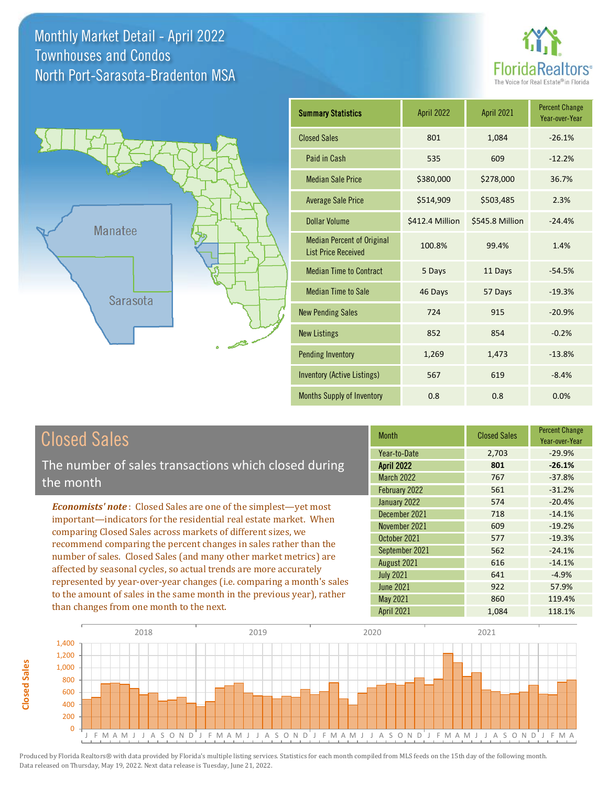Monthly Market Detail - April 2022 North Port-Sarasota-Bradenton MSA Townhouses and Condos





| <b>Summary Statistics</b>                                       | April 2022      | April 2021      | <b>Percent Change</b><br>Year-over-Year |
|-----------------------------------------------------------------|-----------------|-----------------|-----------------------------------------|
| <b>Closed Sales</b>                                             | 801             | 1,084           | $-26.1%$                                |
| Paid in Cash                                                    | 535             | 609             | $-12.2%$                                |
| <b>Median Sale Price</b>                                        | \$380,000       | \$278,000       | 36.7%                                   |
| <b>Average Sale Price</b>                                       | \$514,909       | \$503,485       | 2.3%                                    |
| <b>Dollar Volume</b>                                            | \$412.4 Million | \$545.8 Million | $-24.4%$                                |
| <b>Median Percent of Original</b><br><b>List Price Received</b> | 100.8%          | 99.4%           | 1.4%                                    |
| <b>Median Time to Contract</b>                                  | 5 Days          | 11 Days         | $-54.5%$                                |
| <b>Median Time to Sale</b>                                      | 46 Days         | 57 Days         | $-19.3%$                                |
| <b>New Pending Sales</b>                                        | 724             | 915             | $-20.9%$                                |
| <b>New Listings</b>                                             | 852             | 854             | $-0.2%$                                 |
| <b>Pending Inventory</b>                                        | 1,269           | 1,473           | $-13.8%$                                |
| <b>Inventory (Active Listings)</b>                              | 567             | 619             | $-8.4%$                                 |
| <b>Months Supply of Inventory</b>                               | 0.8             | 0.8             | 0.0%                                    |

### Closed Sales

The number of sales transactions which closed during the month

*Economists' note* : Closed Sales are one of the simplest—yet most important—indicators for the residential real estate market. When comparing Closed Sales across markets of different sizes, we recommend comparing the percent changes in sales rather than the number of sales. Closed Sales (and many other market metrics) are affected by seasonal cycles, so actual trends are more accurately represented by year-over-year changes (i.e. comparing a month's sales to the amount of sales in the same month in the previous year), rather than changes from one month to the next.

| <b>Month</b>      | <b>Closed Sales</b> | <b>Percent Change</b><br>Year-over-Year |
|-------------------|---------------------|-----------------------------------------|
| Year-to-Date      | 2,703               | $-29.9%$                                |
| <b>April 2022</b> | 801                 | $-26.1%$                                |
| <b>March 2022</b> | 767                 | $-37.8%$                                |
| February 2022     | 561                 | $-31.2%$                                |
| January 2022      | 574                 | $-20.4%$                                |
| December 2021     | 718                 | $-14.1%$                                |
| November 2021     | 609                 | $-19.2%$                                |
| October 2021      | 577                 | $-19.3%$                                |
| September 2021    | 562                 | $-24.1%$                                |
| August 2021       | 616                 | $-14.1%$                                |
| <b>July 2021</b>  | 641                 | $-4.9%$                                 |
| <b>June 2021</b>  | 922                 | 57.9%                                   |
| May 2021          | 860                 | 119.4%                                  |
| April 2021        | 1,084               | 118.1%                                  |



**Closed Sales**

Closed Sales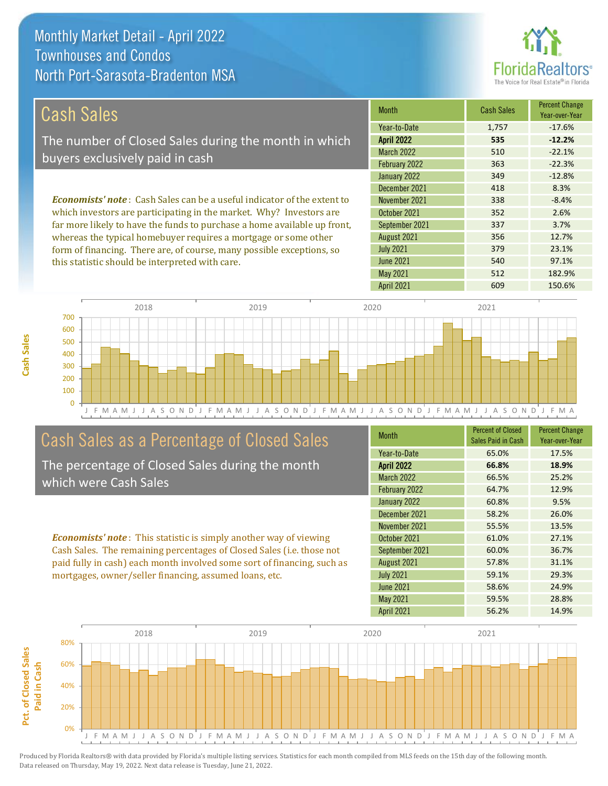Monthly Market Detail - April 2022 North Port-Sarasota-Bradenton MSA Townhouses and Condos

this statistic should be interpreted with care.

#### Florida tors<sup>®</sup> The Voice for Real Estate<sup>®</sup>

540 97.1%

| Cash Sales                                                                     | <b>Month</b>      | <b>Cash Sales</b> | <b>Percent Change</b><br>Year-over-Year |
|--------------------------------------------------------------------------------|-------------------|-------------------|-----------------------------------------|
|                                                                                | Year-to-Date      | 1.757             | $-17.6%$                                |
| The number of Closed Sales during the month in which                           | <b>April 2022</b> | 535               | $-12.2%$                                |
| buyers exclusively paid in cash                                                | <b>March 2022</b> | 510               | $-22.1%$                                |
|                                                                                | February 2022     | 363               | $-22.3%$                                |
|                                                                                | January 2022      | 349               | $-12.8%$                                |
|                                                                                | December 2021     | 418               | 8.3%                                    |
| <b>Economists' note:</b> Cash Sales can be a useful indicator of the extent to | November 2021     | 338               | $-8.4%$                                 |
| which investors are participating in the market. Why? Investors are            | October 2021      | 352               | 2.6%                                    |
| far more likely to have the funds to purchase a home available up front,       | September 2021    | 337               | 3.7%                                    |
| whereas the typical homebuyer requires a mortgage or some other                | August 2021       | 356               | 12.7%                                   |
| form of financing. There are, of course, many possible exceptions, so          | <b>July 2021</b>  | 379               | 23.1%                                   |

J F M A M J J A S O N D J F M A M J J A S O N D J F M A M J J A S O N D J F M A M J J A S O N D J F M A  $\Omega$ 100 200 300 400 500 600 700 2018 2019 2020 2021

#### Cash Sales as a Percentage of Closed Sales

The percentage of Closed Sales during the month which were Cash Sales

*Economists' note* : This statistic is simply another way of viewing Cash Sales. The remaining percentages of Closed Sales (i.e. those not paid fully in cash) each month involved some sort of financing, such as mortgages, owner/seller financing, assumed loans, etc.

| <b>Month</b>      | <b>Percent of Closed</b><br>Sales Paid in Cash | <b>Percent Change</b><br>Year-over-Year |
|-------------------|------------------------------------------------|-----------------------------------------|
| Year-to-Date      | 65.0%                                          | 17.5%                                   |
| <b>April 2022</b> | 66.8%                                          | 18.9%                                   |
| March 2022        | 66.5%                                          | 25.2%                                   |
| February 2022     | 64.7%                                          | 12.9%                                   |
| January 2022      | 60.8%                                          | 9.5%                                    |
| December 2021     | 58.2%                                          | 26.0%                                   |
| November 2021     | 55.5%                                          | 13.5%                                   |
| October 2021      | 61.0%                                          | 27.1%                                   |
| September 2021    | 60.0%                                          | 36.7%                                   |
| August 2021       | 57.8%                                          | 31.1%                                   |
| <b>July 2021</b>  | 59.1%                                          | 29.3%                                   |
| <b>June 2021</b>  | 58.6%                                          | 24.9%                                   |
| May 2021          | 59.5%                                          | 28.8%                                   |
| <b>April 2021</b> | 56.2%                                          | 14.9%                                   |

April 2021 609 150.6%

May 2021 **512** 512 182.9%

June 2021



**Cash Sales**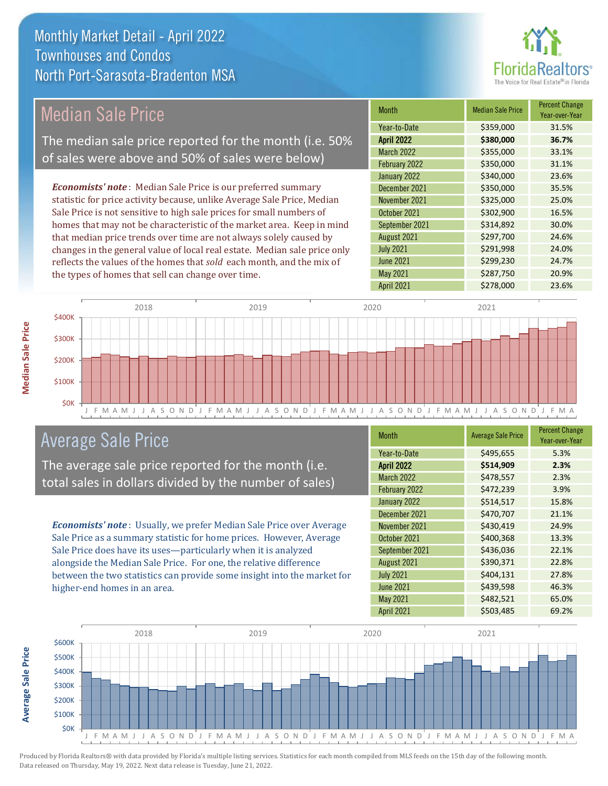# **Florid**

| Median Sale Price                                                         | <b>Month</b>      | <b>Median Sale Price</b> | <b>Percent Change</b><br>Year-over-Year |
|---------------------------------------------------------------------------|-------------------|--------------------------|-----------------------------------------|
|                                                                           | Year-to-Date      | \$359,000                | 31.5%                                   |
| The median sale price reported for the month (i.e. 50%                    | <b>April 2022</b> | \$380,000                | 36.7%                                   |
|                                                                           | <b>March 2022</b> | \$355,000                | 33.1%                                   |
| of sales were above and 50% of sales were below)                          | February 2022     | \$350,000                | 31.1%                                   |
|                                                                           | January 2022      | \$340,000                | 23.6%                                   |
| <b>Economists' note:</b> Median Sale Price is our preferred summary       | December 2021     | \$350,000                | 35.5%                                   |
| statistic for price activity because, unlike Average Sale Price, Median   | November 2021     | \$325,000                | 25.0%                                   |
| Sale Price is not sensitive to high sale prices for small numbers of      | October 2021      | \$302,900                | 16.5%                                   |
| homes that may not be characteristic of the market area. Keep in mind     | September 2021    | \$314,892                | 30.0%                                   |
| that median price trends over time are not always solely caused by        | August 2021       | \$297,700                | 24.6%                                   |
| changes in the general value of local real estate. Median sale price only | <b>July 2021</b>  | \$291,998                | 24.0%                                   |



### Average Sale Price

The average sale price reported for the month (i.e. total sales in dollars divided by the number of sales)

reflects the values of the homes that *sold* each month, and the mix of

the types of homes that sell can change over time.

*Economists' note* : Usually, we prefer Median Sale Price over Average Sale Price as a summary statistic for home prices. However, Average Sale Price does have its uses—particularly when it is analyzed alongside the Median Sale Price. For one, the relative difference between the two statistics can provide some insight into the market for higher-end homes in an area.

| <b>Month</b>      | <b>Average Sale Price</b> | <b>Percent Change</b><br>Year-over-Year |
|-------------------|---------------------------|-----------------------------------------|
| Year-to-Date      | \$495,655                 | 5.3%                                    |
| <b>April 2022</b> | \$514,909                 | 2.3%                                    |
| March 2022        | \$478,557                 | 2.3%                                    |
| February 2022     | \$472,239                 | 3.9%                                    |
| January 2022      | \$514,517                 | 15.8%                                   |
| December 2021     | \$470,707                 | 21.1%                                   |
| November 2021     | \$430,419                 | 24.9%                                   |
| October 2021      | \$400,368                 | 13.3%                                   |
| September 2021    | \$436,036                 | 22.1%                                   |
| August 2021       | \$390,371                 | 22.8%                                   |
| <b>July 2021</b>  | \$404,131                 | 27.8%                                   |
| <b>June 2021</b>  | \$439,598                 | 46.3%                                   |
| May 2021          | \$482,521                 | 65.0%                                   |
| April 2021        | \$503,485                 | 69.2%                                   |

June 2021 **\$299,230** 24.7% May 2021 **\$287,750** 20.9%



Produced by Florida Realtors® with data provided by Florida's multiple listing services. Statistics for each month compiled from MLS feeds on the 15th day of the following month. Data released on Thursday, May 19, 2022. Next data release is Tuesday, June 21, 2022.

**Average Sale Price**

**Average Sale Price**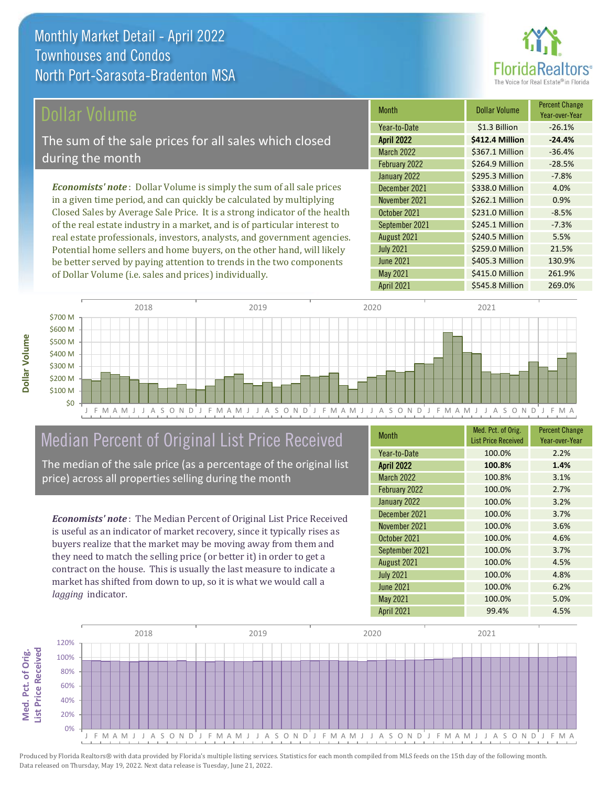

#### Dollar Volume

The sum of the sale prices for all sales which closed during the month

*Economists' note* : Dollar Volume is simply the sum of all sale prices in a given time period, and can quickly be calculated by multiplying Closed Sales by Average Sale Price. It is a strong indicator of the health of the real estate industry in a market, and is of particular interest to real estate professionals, investors, analysts, and government agencies. Potential home sellers and home buyers, on the other hand, will likely be better served by paying attention to trends in the two components of Dollar Volume (i.e. sales and prices) individually.

| Month             | <b>Dollar Volume</b> | <b>Percent Change</b><br>Year-over-Year |
|-------------------|----------------------|-----------------------------------------|
| Year-to-Date      | \$1.3 Billion        | $-26.1%$                                |
| <b>April 2022</b> | \$412.4 Million      | $-24.4%$                                |
| <b>March 2022</b> | \$367.1 Million      | $-36.4%$                                |
| February 2022     | \$264.9 Million      | $-28.5%$                                |
| January 2022      | \$295.3 Million      | $-7.8%$                                 |
| December 2021     | \$338.0 Million      | 4.0%                                    |
| November 2021     | \$262.1 Million      | 0.9%                                    |
| October 2021      | \$231.0 Million      | $-8.5%$                                 |
| September 2021    | \$245.1 Million      | $-7.3%$                                 |
| August 2021       | \$240.5 Million      | 5.5%                                    |
| <b>July 2021</b>  | \$259.0 Million      | 21.5%                                   |
| <b>June 2021</b>  | \$405.3 Million      | 130.9%                                  |
| <b>May 2021</b>   | \$415.0 Million      | 261.9%                                  |
| April 2021        | \$545.8 Million      | 269.0%                                  |



#### Median Percent of Original List Price Received

The median of the sale price (as a percentage of the original list price) across all properties selling during the month

*Economists' note* : The Median Percent of Original List Price Received is useful as an indicator of market recovery, since it typically rises as buyers realize that the market may be moving away from them and they need to match the selling price (or better it) in order to get a contract on the house. This is usually the last measure to indicate a market has shifted from down to up, so it is what we would call a *lagging* indicator.

| <b>Month</b>      | Med. Pct. of Orig.<br><b>List Price Received</b> | <b>Percent Change</b><br>Year-over-Year |
|-------------------|--------------------------------------------------|-----------------------------------------|
| Year-to-Date      | 100.0%                                           | 2.2%                                    |
| <b>April 2022</b> | 100.8%                                           | 1.4%                                    |
| <b>March 2022</b> | 100.8%                                           | 3.1%                                    |
| February 2022     | 100.0%                                           | 2.7%                                    |
| January 2022      | 100.0%                                           | 3.2%                                    |
| December 2021     | 100.0%                                           | 3.7%                                    |
| November 2021     | 100.0%                                           | 3.6%                                    |
| October 2021      | 100.0%                                           | 4.6%                                    |
| September 2021    | 100.0%                                           | 3.7%                                    |
| August 2021       | 100.0%                                           | 4.5%                                    |
| <b>July 2021</b>  | 100.0%                                           | 4.8%                                    |
| <b>June 2021</b>  | 100.0%                                           | 6.2%                                    |
| May 2021          | 100.0%                                           | 5.0%                                    |
| April 2021        | 99.4%                                            | 4.5%                                    |



Produced by Florida Realtors® with data provided by Florida's multiple listing services. Statistics for each month compiled from MLS feeds on the 15th day of the following month. Data released on Thursday, May 19, 2022. Next data release is Tuesday, June 21, 2022.

Med. Pct. of Orig.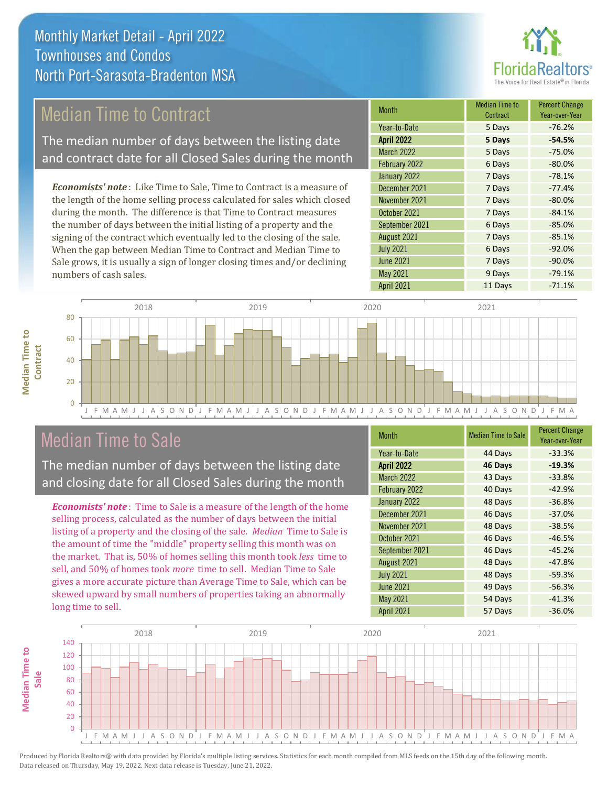## Median Time to Contract

The median number of days between the listing date and contract date for all Closed Sales during the month

*Economists' note* : Like Time to Sale, Time to Contract is a measure of the length of the home selling process calculated for sales which closed during the month. The difference is that Time to Contract measures the number of days between the initial listing of a property and the signing of the contract which eventually led to the closing of the sale. When the gap between Median Time to Contract and Median Time to Sale grows, it is usually a sign of longer closing times and/or declining numbers of cash sales.

| <b>Month</b>      | <b>Median Time to</b><br>Contract | <b>Percent Change</b><br>Year-over-Year |
|-------------------|-----------------------------------|-----------------------------------------|
| Year-to-Date      | 5 Days                            | $-76.2%$                                |
| <b>April 2022</b> | 5 Days                            | $-54.5%$                                |
| <b>March 2022</b> | 5 Days                            | $-75.0%$                                |
| February 2022     | 6 Days                            | $-80.0%$                                |
| January 2022      | 7 Days                            | $-78.1%$                                |
| December 2021     | 7 Days                            | $-77.4%$                                |
| November 2021     | 7 Days                            | $-80.0%$                                |
| October 2021      | 7 Days                            | $-84.1%$                                |
| September 2021    | 6 Days                            | $-85.0%$                                |
| August 2021       | 7 Days                            | $-85.1%$                                |
| <b>July 2021</b>  | 6 Days                            | $-92.0%$                                |
| <b>June 2021</b>  | 7 Days                            | $-90.0%$                                |
| <b>May 2021</b>   | 9 Days                            | $-79.1%$                                |
| April 2021        | 11 Days                           | $-71.1%$                                |



#### Median Time to Sale

**Median Time to** 

**Median Time to** 

The median number of days between the listing date and closing date for all Closed Sales during the month

*Economists' note* : Time to Sale is a measure of the length of the home selling process, calculated as the number of days between the initial listing of a property and the closing of the sale. *Median* Time to Sale is the amount of time the "middle" property selling this month was on the market. That is, 50% of homes selling this month took *less* time to sell, and 50% of homes took *more* time to sell. Median Time to Sale gives a more accurate picture than Average Time to Sale, which can be skewed upward by small numbers of properties taking an abnormally long time to sell.

| <b>Month</b>      | <b>Median Time to Sale</b> | <b>Percent Change</b><br>Year-over-Year |
|-------------------|----------------------------|-----------------------------------------|
| Year-to-Date      | 44 Days                    | $-33.3%$                                |
| <b>April 2022</b> | 46 Days                    | $-19.3%$                                |
| <b>March 2022</b> | 43 Days                    | $-33.8%$                                |
| February 2022     | 40 Days                    | $-42.9%$                                |
| January 2022      | 48 Days                    | $-36.8%$                                |
| December 2021     | 46 Days                    | $-37.0%$                                |
| November 2021     | 48 Days                    | $-38.5%$                                |
| October 2021      | 46 Days                    | $-46.5%$                                |
| September 2021    | 46 Days                    | $-45.2%$                                |
| August 2021       | 48 Days                    | $-47.8%$                                |
| <b>July 2021</b>  | 48 Days                    | $-59.3%$                                |
| <b>June 2021</b>  | 49 Days                    | $-56.3%$                                |
| May 2021          | 54 Days                    | $-41.3%$                                |
| April 2021        | 57 Days                    | $-36.0%$                                |

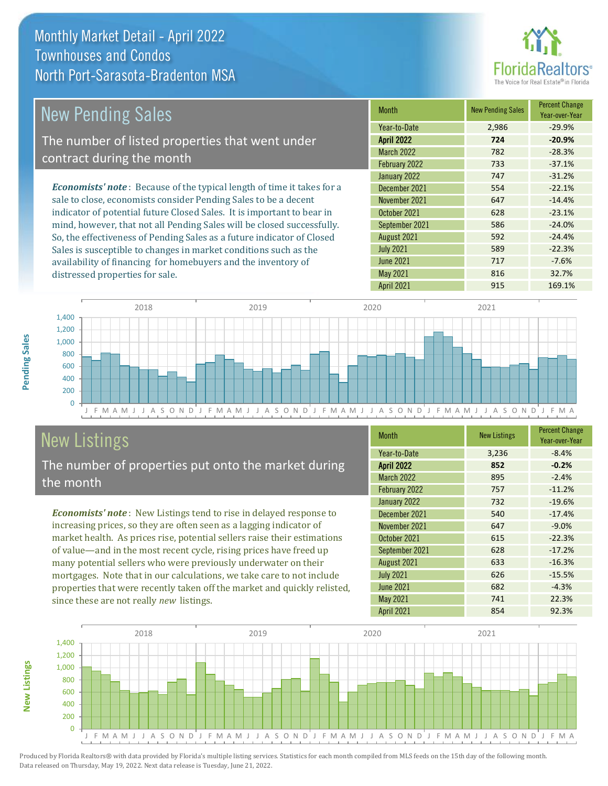distressed properties for sale.



| <b>New Pending Sales</b>                                                       | <b>Month</b>      | <b>New Pending Sales</b> | <b>Percent Change</b><br>Year-over-Year |
|--------------------------------------------------------------------------------|-------------------|--------------------------|-----------------------------------------|
|                                                                                | Year-to-Date      | 2,986                    | $-29.9%$                                |
| The number of listed properties that went under                                | <b>April 2022</b> | 724                      | $-20.9%$                                |
| contract during the month                                                      | <b>March 2022</b> | 782                      | $-28.3%$                                |
|                                                                                | February 2022     | 733                      | $-37.1%$                                |
|                                                                                | January 2022      | 747                      | $-31.2%$                                |
| <b>Economists' note</b> : Because of the typical length of time it takes for a | December 2021     | 554                      | $-22.1%$                                |
| sale to close, economists consider Pending Sales to be a decent                | November 2021     | 647                      | $-14.4%$                                |
| indicator of potential future Closed Sales. It is important to bear in         | October 2021      | 628                      | $-23.1%$                                |
| mind, however, that not all Pending Sales will be closed successfully.         | September 2021    | 586                      | $-24.0%$                                |
| So, the effectiveness of Pending Sales as a future indicator of Closed         | August 2021       | 592                      | $-24.4%$                                |
| Sales is susceptible to changes in market conditions such as the               | <b>July 2021</b>  | 589                      | $-22.3%$                                |

J F M A M J J A S O N D J F M A M J J A S O N D J F M A M J J A S O N D J F M A M J J A S O N D J F M A  $\Omega$ 200 400 600 800 1,000 1,200 1,400 2018 2019 2020 2021

### New Listings

The number of properties put onto the market during the month

availability of financing for homebuyers and the inventory of

*Economists' note* : New Listings tend to rise in delayed response to increasing prices, so they are often seen as a lagging indicator of market health. As prices rise, potential sellers raise their estimations of value—and in the most recent cycle, rising prices have freed up many potential sellers who were previously underwater on their mortgages. Note that in our calculations, we take care to not include properties that were recently taken off the market and quickly relisted, since these are not really *new* listings.

| <b>Month</b>      | <b>New Listings</b> | <b>Percent Change</b><br>Year-over-Year |
|-------------------|---------------------|-----------------------------------------|
| Year-to-Date      | 3,236               | $-8.4%$                                 |
| <b>April 2022</b> | 852                 | $-0.2%$                                 |
| <b>March 2022</b> | 895                 | $-2.4%$                                 |
| February 2022     | 757                 | $-11.2%$                                |
| January 2022      | 732                 | $-19.6%$                                |
| December 2021     | 540                 | $-17.4%$                                |
| November 2021     | 647                 | $-9.0%$                                 |
| October 2021      | 615                 | $-22.3%$                                |
| September 2021    | 628                 | $-17.2%$                                |
| August 2021       | 633                 | $-16.3%$                                |
| <b>July 2021</b>  | 626                 | $-15.5%$                                |
| <b>June 2021</b>  | 682                 | $-4.3%$                                 |
| May 2021          | 741                 | 22.3%                                   |
| <b>April 2021</b> | 854                 | 92.3%                                   |

June 2021 **717** 717 -7.6% May 2021 816 816 32.7% April 2021 915 915 169.1%



Produced by Florida Realtors® with data provided by Florida's multiple listing services. Statistics for each month compiled from MLS feeds on the 15th day of the following month. Data released on Thursday, May 19, 2022. Next data release is Tuesday, June 21, 2022.

**New Listings**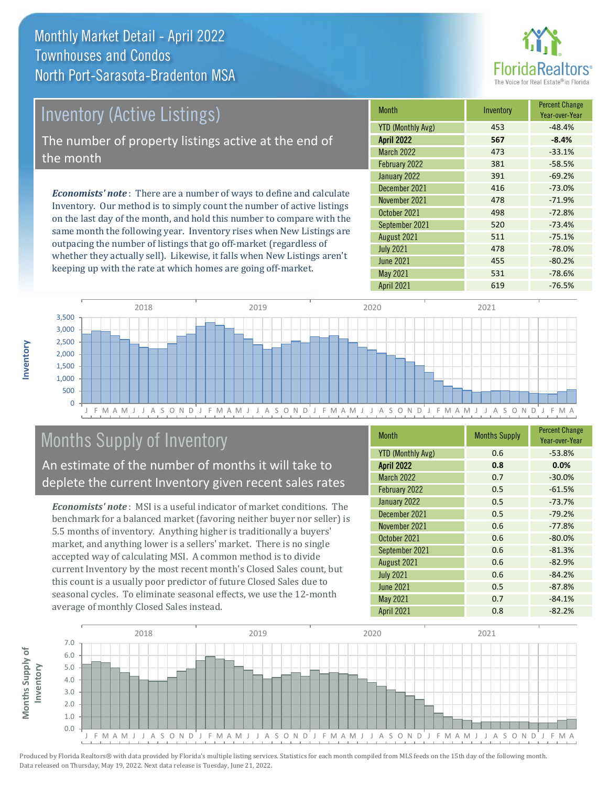Monthly Market Detail - April 2022 North Port-Sarasota-Bradenton MSA Townhouses and Condos



# Inventory (Active Listings)

The number of property listings active at the end of the month

*Economists' note* : There are a number of ways to define and calculate Inventory. Our method is to simply count the number of active listings on the last day of the month, and hold this number to compare with the same month the following year. Inventory rises when New Listings are outpacing the number of listings that go off-market (regardless of whether they actually sell). Likewise, it falls when New Listings aren't keeping up with the rate at which homes are going off-market.

| <b>Month</b>             | Inventory | <b>Percent Change</b><br>Year-over-Year |
|--------------------------|-----------|-----------------------------------------|
| <b>YTD (Monthly Avg)</b> | 453       | $-48.4%$                                |
| <b>April 2022</b>        | 567       | $-8.4%$                                 |
| March 2022               | 473       | $-33.1%$                                |
| February 2022            | 381       | $-58.5%$                                |
| January 2022             | 391       | $-69.2%$                                |
| December 2021            | 416       | $-73.0%$                                |
| November 2021            | 478       | $-71.9%$                                |
| October 2021             | 498       | $-72.8%$                                |
| September 2021           | 520       | $-73.4%$                                |
| August 2021              | 511       | $-75.1%$                                |
| <b>July 2021</b>         | 478       | $-78.0%$                                |
| <b>June 2021</b>         | 455       | $-80.2%$                                |
| <b>May 2021</b>          | 531       | $-78.6%$                                |
| <b>April 2021</b>        | 619       | $-76.5%$                                |



## Months Supply of Inventory

An estimate of the number of months it will take to deplete the current Inventory given recent sales rates

*Economists' note* : MSI is a useful indicator of market conditions. The benchmark for a balanced market (favoring neither buyer nor seller) is 5.5 months of inventory. Anything higher is traditionally a buyers' market, and anything lower is a sellers' market. There is no single accepted way of calculating MSI. A common method is to divide current Inventory by the most recent month's Closed Sales count, but this count is a usually poor predictor of future Closed Sales due to seasonal cycles. To eliminate seasonal effects, we use the 12-month average of monthly Closed Sales instead.

| <b>Month</b>             | <b>Months Supply</b> | <b>Percent Change</b><br>Year-over-Year |
|--------------------------|----------------------|-----------------------------------------|
| <b>YTD (Monthly Avg)</b> | 0.6                  | $-53.8%$                                |
| <b>April 2022</b>        | 0.8                  | 0.0%                                    |
| <b>March 2022</b>        | 0.7                  | $-30.0%$                                |
| February 2022            | 0.5                  | $-61.5%$                                |
| January 2022             | 0.5                  | $-73.7%$                                |
| December 2021            | 0.5                  | $-79.2%$                                |
| November 2021            | 0.6                  | $-77.8%$                                |
| October 2021             | 0.6                  | $-80.0%$                                |
| September 2021           | 0.6                  | $-81.3%$                                |
| August 2021              | 0.6                  | $-82.9%$                                |
| <b>July 2021</b>         | 0.6                  | $-84.2%$                                |
| <b>June 2021</b>         | 0.5                  | $-87.8%$                                |
| May 2021                 | 0.7                  | $-84.1%$                                |
| <b>April 2021</b>        | 0.8                  | $-82.2%$                                |

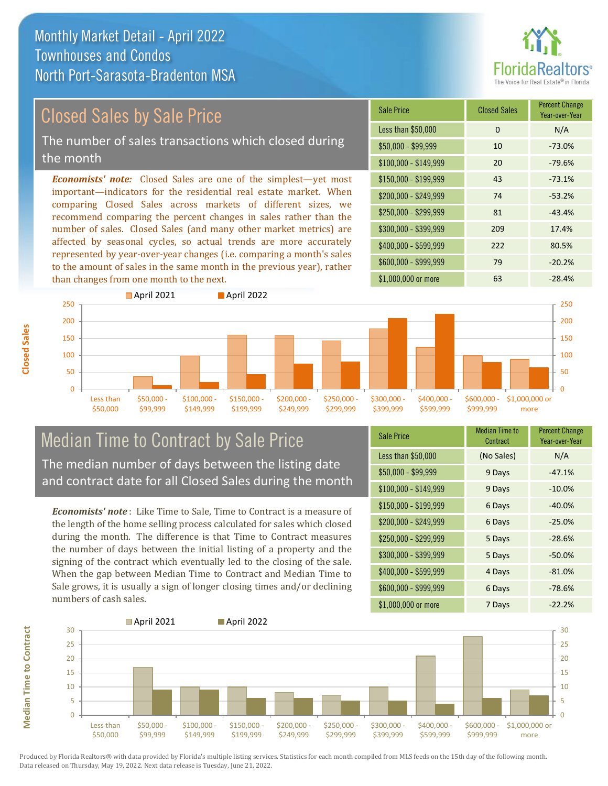# **Paltors**

### Closed Sales by Sale Price

The number of sales transactions which closed during the month

*Economists' note:* Closed Sales are one of the simplest—yet most important—indicators for the residential real estate market. When comparing Closed Sales across markets of different sizes, we recommend comparing the percent changes in sales rather than the number of sales. Closed Sales (and many other market metrics) are affected by seasonal cycles, so actual trends are more accurately represented by year-over-year changes (i.e. comparing a month's sales to the amount of sales in the same month in the previous year), rather than changes from one month to the next.





#### Median Time to Contract by Sale Price The median number of days between the listing date

and contract date for all Closed Sales during the month

*Economists' note* : Like Time to Sale, Time to Contract is a measure of the length of the home selling process calculated for sales which closed during the month. The difference is that Time to Contract measures the number of days between the initial listing of a property and the signing of the contract which eventually led to the closing of the sale. When the gap between Median Time to Contract and Median Time to Sale grows, it is usually a sign of longer closing times and/or declining numbers of cash sales.

| <b>Sale Price</b>     | Median Time to<br>Contract | <b>Percent Change</b><br>Year-over-Year |
|-----------------------|----------------------------|-----------------------------------------|
| Less than \$50,000    | (No Sales)                 | N/A                                     |
| \$50,000 - \$99,999   | 9 Days                     | $-47.1%$                                |
| $$100,000 - $149,999$ | 9 Days                     | $-10.0%$                                |
| $$150,000 - $199,999$ | 6 Days                     | $-40.0%$                                |
| \$200,000 - \$249,999 | 6 Days                     | $-25.0%$                                |
| \$250,000 - \$299,999 | 5 Days                     | $-28.6%$                                |
| \$300,000 - \$399,999 | 5 Days                     | $-50.0%$                                |
| \$400,000 - \$599,999 | 4 Days                     | $-81.0%$                                |
| \$600,000 - \$999,999 | 6 Days                     | $-78.6%$                                |
| \$1,000,000 or more   | 7 Days                     | $-22.2%$                                |



**Closed Sales**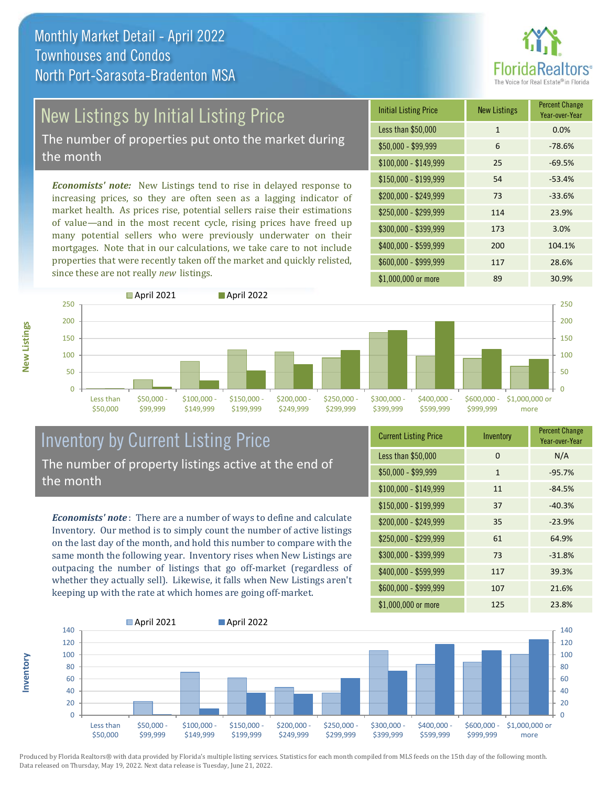# **Realtors**

# New Listings by Initial Listing Price

The number of properties put onto the market during the month

*Economists' note:* New Listings tend to rise in delayed response to increasing prices, so they are often seen as a lagging indicator of market health. As prices rise, potential sellers raise their estimations of value—and in the most recent cycle, rising prices have freed up many potential sellers who were previously underwater on their mortgages. Note that in our calculations, we take care to not include properties that were recently taken off the market and quickly relisted, since these are not really *new* listings.





#### Inventory by Current Listing Price The number of property listings active at the end of the month

*Economists' note* : There are a number of ways to define and calculate Inventory. Our method is to simply count the number of active listings on the last day of the month, and hold this number to compare with the same month the following year. Inventory rises when New Listings are outpacing the number of listings that go off-market (regardless of whether they actually sell). Likewise, it falls when New Listings aren't keeping up with the rate at which homes are going off-market.

| <b>Current Listing Price</b> | Inventory    | <b>Percent Change</b><br>Year-over-Year |
|------------------------------|--------------|-----------------------------------------|
| Less than \$50,000           | $\Omega$     | N/A                                     |
| $$50,000 - $99,999$          | $\mathbf{1}$ | $-95.7%$                                |
| $$100,000 - $149,999$        | 11           | $-84.5%$                                |
| $$150,000 - $199,999$        | 37           | $-40.3%$                                |
| \$200,000 - \$249,999        | 35           | $-23.9%$                                |
| \$250,000 - \$299,999        | 61           | 64.9%                                   |
| \$300,000 - \$399,999        | 73           | $-31.8%$                                |
| \$400,000 - \$599,999        | 117          | 39.3%                                   |
| \$600,000 - \$999,999        | 107          | 21.6%                                   |
| \$1,000,000 or more          | 125          | 23.8%                                   |



Produced by Florida Realtors® with data provided by Florida's multiple listing services. Statistics for each month compiled from MLS feeds on the 15th day of the following month. Data released on Thursday, May 19, 2022. Next data release is Tuesday, June 21, 2022.

**Inventory**